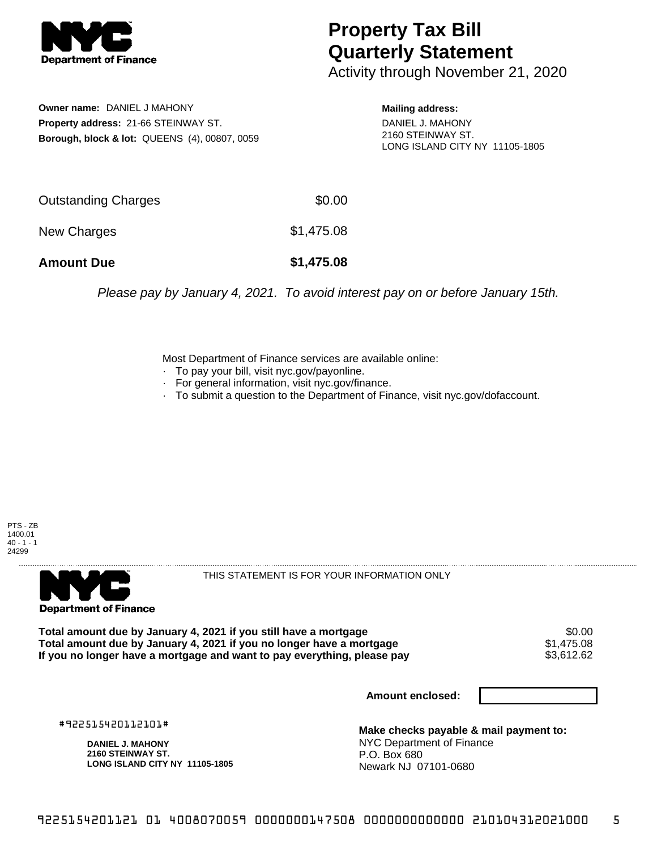

## **Property Tax Bill Quarterly Statement**

Activity through November 21, 2020

**Owner name:** DANIEL J MAHONY **Property address:** 21-66 STEINWAY ST. **Borough, block & lot:** QUEENS (4), 00807, 0059 **Mailing address:**

DANIEL J. MAHONY 2160 STEINWAY ST. LONG ISLAND CITY NY 11105-1805

| <b>Amount Due</b>   | \$1,475.08 |
|---------------------|------------|
| New Charges         | \$1,475.08 |
| Outstanding Charges | \$0.00     |

Please pay by January 4, 2021. To avoid interest pay on or before January 15th.

Most Department of Finance services are available online:

- · To pay your bill, visit nyc.gov/payonline.
- For general information, visit nyc.gov/finance.
- · To submit a question to the Department of Finance, visit nyc.gov/dofaccount.

PTS - ZB 1400.01  $40 - 1 - 1$ 24299



THIS STATEMENT IS FOR YOUR INFORMATION ONLY

Total amount due by January 4, 2021 if you still have a mortgage \$0.00<br>Total amount due by January 4, 2021 if you no longer have a mortgage \$1.475.08 **Total amount due by January 4, 2021 if you no longer have a mortgage**  $$1,475.08$ **<br>If you no longer have a mortgage and want to pay everything, please pay <b>show that the summan state of the s**3,612.62 If you no longer have a mortgage and want to pay everything, please pay

**Amount enclosed:**

#922515420112101#

**DANIEL J. MAHONY 2160 STEINWAY ST. LONG ISLAND CITY NY 11105-1805**

**Make checks payable & mail payment to:** NYC Department of Finance P.O. Box 680 Newark NJ 07101-0680